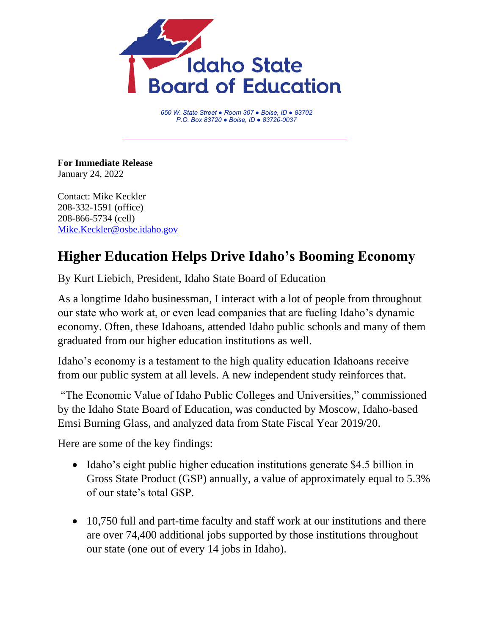

*650 W. State Street ● Room 307 ● Boise, ID ● 83702 P.O. Box 83720 ● Boise, ID ● 83720-0037*

**For Immediate Release** January 24, 2022

Contact: Mike Keckler 208-332-1591 (office) 208-866-5734 (cell) [Mike.Keckler@osbe.idaho.gov](mailto:Mike.Keckler@osbe.idaho.gov)

## **Higher Education Helps Drive Idaho's Booming Economy**

By Kurt Liebich, President, Idaho State Board of Education

As a longtime Idaho businessman, I interact with a lot of people from throughout our state who work at, or even lead companies that are fueling Idaho's dynamic economy. Often, these Idahoans, attended Idaho public schools and many of them graduated from our higher education institutions as well.

Idaho's economy is a testament to the high quality education Idahoans receive from our public system at all levels. A new independent study reinforces that.

"The Economic Value of Idaho Public Colleges and Universities," commissioned by the Idaho State Board of Education, was conducted by Moscow, Idaho-based Emsi Burning Glass, and analyzed data from State Fiscal Year 2019/20.

Here are some of the key findings:

- Idaho's eight public higher education institutions generate \$4.5 billion in Gross State Product (GSP) annually, a value of approximately equal to 5.3% of our state's total GSP.
- 10,750 full and part-time faculty and staff work at our institutions and there are over 74,400 additional jobs supported by those institutions throughout our state (one out of every 14 jobs in Idaho).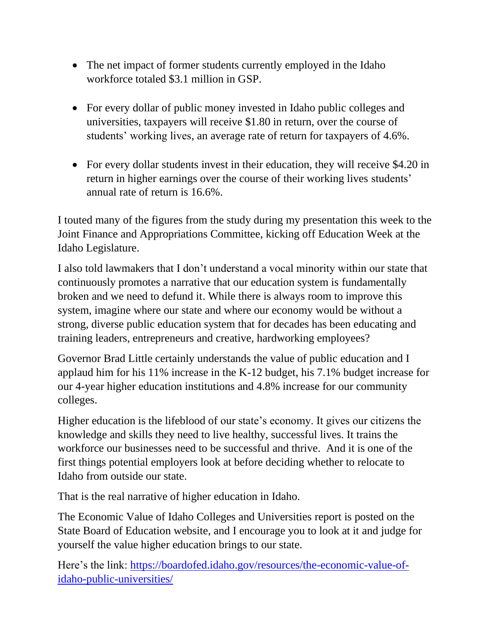- The net impact of former students currently employed in the Idaho workforce totaled \$3.1 million in GSP.
- For every dollar of public money invested in Idaho public colleges and universities, taxpayers will receive \$1.80 in return, over the course of students' working lives, an average rate of return for taxpayers of 4.6%.
- For every dollar students invest in their education, they will receive \$4.20 in return in higher earnings over the course of their working lives students' annual rate of return is 16.6%.

I touted many of the figures from the study during my presentation this week to the Joint Finance and Appropriations Committee, kicking off Education Week at the Idaho Legislature.

I also told lawmakers that I don't understand a vocal minority within our state that continuously promotes a narrative that our education system is fundamentally broken and we need to defund it. While there is always room to improve this system, imagine where our state and where our economy would be without a strong, diverse public education system that for decades has been educating and training leaders, entrepreneurs and creative, hardworking employees?

Governor Brad Little certainly understands the value of public education and I applaud him for his 11% increase in the K-12 budget, his 7.1% budget increase for our 4-year higher education institutions and 4.8% increase for our community colleges.

Higher education is the lifeblood of our state's economy. It gives our citizens the knowledge and skills they need to live healthy, successful lives. It trains the workforce our businesses need to be successful and thrive. And it is one of the first things potential employers look at before deciding whether to relocate to Idaho from outside our state.

That is the real narrative of higher education in Idaho.

The Economic Value of Idaho Colleges and Universities report is posted on the State Board of Education website, and I encourage you to look at it and judge for yourself the value higher education brings to our state.

Here's the link: [https://boardofed.idaho.gov/resources/the-economic-value-of](https://boardofed.idaho.gov/resources/the-economic-value-of-idaho-public-universities/)[idaho-public-universities/](https://boardofed.idaho.gov/resources/the-economic-value-of-idaho-public-universities/)